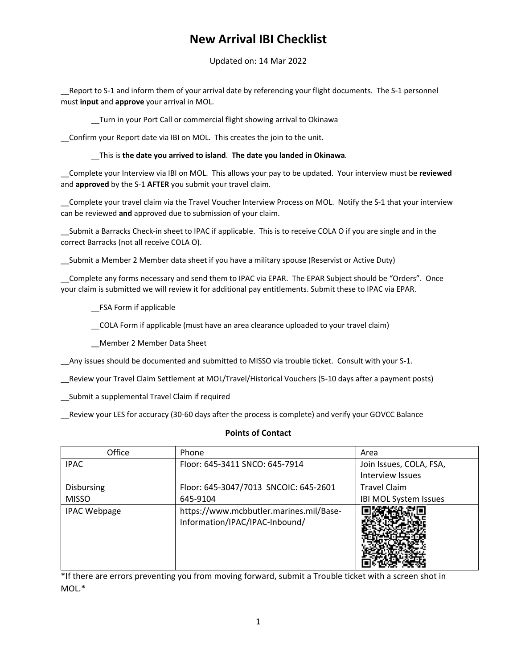## **New Arrival IBI Checklist**

Updated on: 14 Mar 2022

Report to S-1 and inform them of your arrival date by referencing your flight documents. The S-1 personnel must **input** and **approve** your arrival in MOL.

\_\_Turn in your Port Call or commercial flight showing arrival to Okinawa

\_\_Confirm your Report date via IBI on MOL. This creates the join to the unit.

\_\_This is **the date you arrived to island**. **The date you landed in Okinawa**.

\_\_Complete your Interview via IBI on MOL. This allows your pay to be updated. Your interview must be **reviewed**  and **approved** by the S‐1 **AFTER** you submit your travel claim.

\_\_Complete your travel claim via the Travel Voucher Interview Process on MOL. Notify the S‐1 that your interview can be reviewed **and** approved due to submission of your claim.

\_\_Submit a Barracks Check‐in sheet to IPAC if applicable. This is to receive COLA O if you are single and in the correct Barracks (not all receive COLA O).

\_\_Submit a Member 2 Member data sheet if you have a military spouse (Reservist or Active Duty)

Complete any forms necessary and send them to IPAC via EPAR. The EPAR Subject should be "Orders". Once your claim is submitted we will review it for additional pay entitlements. Submit these to IPAC via EPAR.

\_\_FSA Form if applicable

\_\_COLA Form if applicable (must have an area clearance uploaded to your travel claim)

\_\_Member 2 Member Data Sheet

\_\_Any issues should be documented and submitted to MISSO via trouble ticket. Consult with your S‐1.

\_\_Review your Travel Claim Settlement at MOL/Travel/Historical Vouchers (5‐10 days after a payment posts)

\_\_Submit a supplemental Travel Claim if required

\_\_Review your LES for accuracy (30‐60 days after the process is complete) and verify your GOVCC Balance

#### **Points of Contact**

| Office              | Phone                                                                     | Area                         |
|---------------------|---------------------------------------------------------------------------|------------------------------|
| <b>IPAC</b>         | Floor: 645-3411 SNCO: 645-7914                                            | Join Issues, COLA, FSA,      |
|                     |                                                                           | Interview Issues             |
| Disbursing          | Floor: 645-3047/7013 SNCOIC: 645-2601                                     | <b>Travel Claim</b>          |
| <b>MISSO</b>        | 645-9104                                                                  | <b>IBI MOL System Issues</b> |
| <b>IPAC Webpage</b> | https://www.mcbbutler.marines.mil/Base-<br>Information/IPAC/IPAC-Inbound/ |                              |

\*If there are errors preventing you from moving forward, submit a Trouble ticket with a screen shot in MOL.\*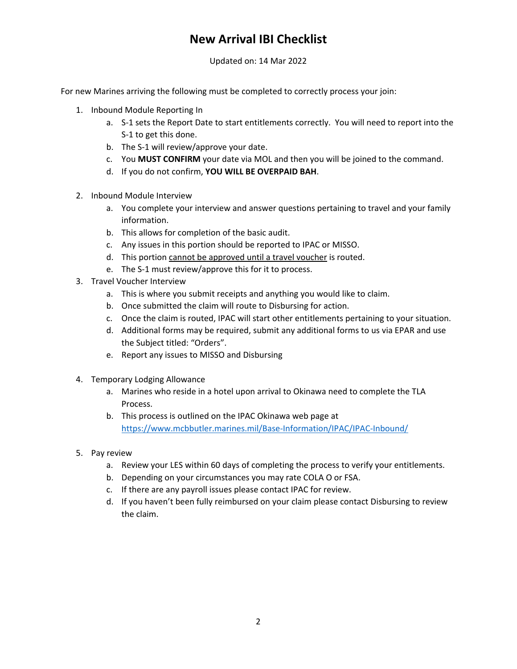# **New Arrival IBI Checklist**

Updated on: 14 Mar 2022

For new Marines arriving the following must be completed to correctly process your join:

- 1. Inbound Module Reporting In
	- a. S‐1 sets the Report Date to start entitlements correctly. You will need to report into the S‐1 to get this done.
	- b. The S-1 will review/approve your date.
	- c. You **MUST CONFIRM** your date via MOL and then you will be joined to the command.
	- d. If you do not confirm, **YOU WILL BE OVERPAID BAH**.
- 2. Inbound Module Interview
	- a. You complete your interview and answer questions pertaining to travel and your family information.
	- b. This allows for completion of the basic audit.
	- c. Any issues in this portion should be reported to IPAC or MISSO.
	- d. This portion cannot be approved until a travel voucher is routed.
	- e. The S-1 must review/approve this for it to process.
- 3. Travel Voucher Interview
	- a. This is where you submit receipts and anything you would like to claim.
	- b. Once submitted the claim will route to Disbursing for action.
	- c. Once the claim is routed, IPAC will start other entitlements pertaining to your situation.
	- d. Additional forms may be required, submit any additional forms to us via EPAR and use the Subject titled: "Orders".
	- e. Report any issues to MISSO and Disbursing
- 4. Temporary Lodging Allowance
	- a. Marines who reside in a hotel upon arrival to Okinawa need to complete the TLA Process.
	- b. This process is outlined on the IPAC Okinawa web page at https://www.mcbbutler.marines.mil/Base-Information/IPAC/IPAC-Inbound/
- 5. Pay review
	- a. Review your LES within 60 days of completing the process to verify your entitlements.
	- b. Depending on your circumstances you may rate COLA O or FSA.
	- c. If there are any payroll issues please contact IPAC for review.
	- d. If you haven't been fully reimbursed on your claim please contact Disbursing to review the claim.